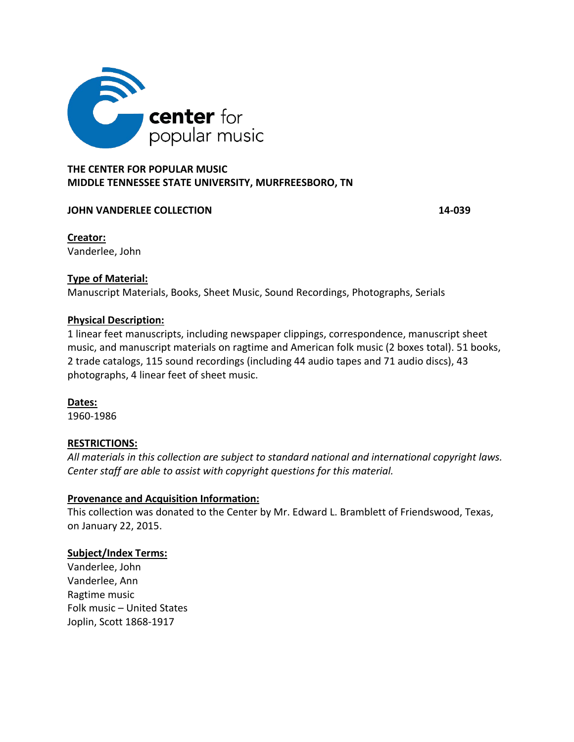

# **THE CENTER FOR POPULAR MUSIC MIDDLE TENNESSEE STATE UNIVERSITY, MURFREESBORO, TN**

### **JOHN VANDERLEE COLLECTION 14-039**

**Creator:**  Vanderlee, John

### **Type of Material:**

Manuscript Materials, Books, Sheet Music, Sound Recordings, Photographs, Serials

#### **Physical Description:**

1 linear feet manuscripts, including newspaper clippings, correspondence, manuscript sheet music, and manuscript materials on ragtime and American folk music (2 boxes total). 51 books, 2 trade catalogs, 115 sound recordings (including 44 audio tapes and 71 audio discs), 43 photographs, 4 linear feet of sheet music.

#### **Dates:**

1960-1986

### **RESTRICTIONS:**

*All materials in this collection are subject to standard national and international copyright laws. Center staff are able to assist with copyright questions for this material.*

### **Provenance and Acquisition Information:**

This collection was donated to the Center by Mr. Edward L. Bramblett of Friendswood, Texas, on January 22, 2015.

### **Subject/Index Terms:**

Vanderlee, John Vanderlee, Ann Ragtime music Folk music – United States Joplin, Scott 1868-1917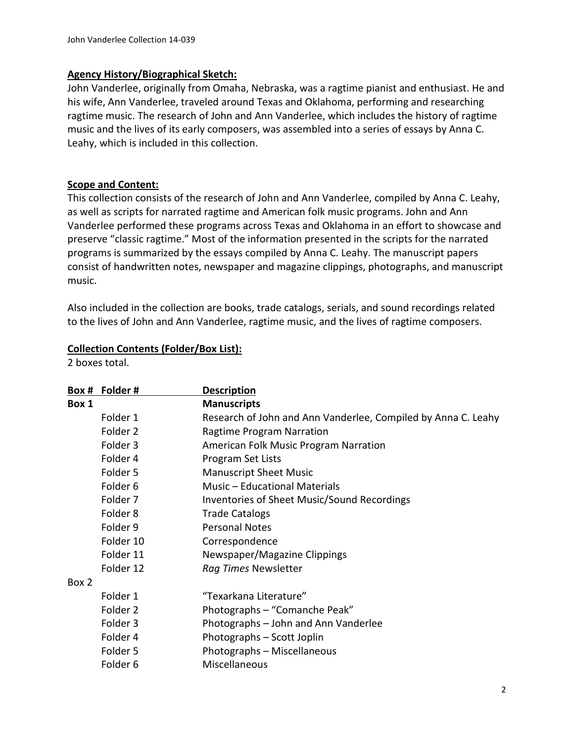### **Agency History/Biographical Sketch:**

John Vanderlee, originally from Omaha, Nebraska, was a ragtime pianist and enthusiast. He and his wife, Ann Vanderlee, traveled around Texas and Oklahoma, performing and researching ragtime music. The research of John and Ann Vanderlee, which includes the history of ragtime music and the lives of its early composers, was assembled into a series of essays by Anna C. Leahy, which is included in this collection.

#### **Scope and Content:**

This collection consists of the research of John and Ann Vanderlee, compiled by Anna C. Leahy, as well as scripts for narrated ragtime and American folk music programs. John and Ann Vanderlee performed these programs across Texas and Oklahoma in an effort to showcase and preserve "classic ragtime." Most of the information presented in the scripts for the narrated programs is summarized by the essays compiled by Anna C. Leahy. The manuscript papers consist of handwritten notes, newspaper and magazine clippings, photographs, and manuscript music.

Also included in the collection are books, trade catalogs, serials, and sound recordings related to the lives of John and Ann Vanderlee, ragtime music, and the lives of ragtime composers.

#### **Collection Contents (Folder/Box List):**

2 boxes total.

|       | Box # Folder #      | <b>Description</b>                                            |
|-------|---------------------|---------------------------------------------------------------|
| Box 1 |                     | <b>Manuscripts</b>                                            |
|       | Folder 1            | Research of John and Ann Vanderlee, Compiled by Anna C. Leahy |
|       | Folder 2            | Ragtime Program Narration                                     |
|       | Folder 3            | American Folk Music Program Narration                         |
|       | Folder 4            | Program Set Lists                                             |
|       | Folder 5            | <b>Manuscript Sheet Music</b>                                 |
|       | Folder <sub>6</sub> | Music - Educational Materials                                 |
|       | Folder <sub>7</sub> | Inventories of Sheet Music/Sound Recordings                   |
|       | Folder <sub>8</sub> | <b>Trade Catalogs</b>                                         |
|       | Folder 9            | <b>Personal Notes</b>                                         |
|       | Folder 10           | Correspondence                                                |
|       | Folder 11           | Newspaper/Magazine Clippings                                  |
|       | Folder 12           | Rag Times Newsletter                                          |
| Box 2 |                     |                                                               |
|       | Folder 1            | "Texarkana Literature"                                        |
|       | Folder 2            | Photographs - "Comanche Peak"                                 |
|       | Folder 3            | Photographs - John and Ann Vanderlee                          |
|       | Folder 4            | Photographs - Scott Joplin                                    |
|       | Folder 5            | Photographs - Miscellaneous                                   |
|       | Folder <sub>6</sub> | Miscellaneous                                                 |